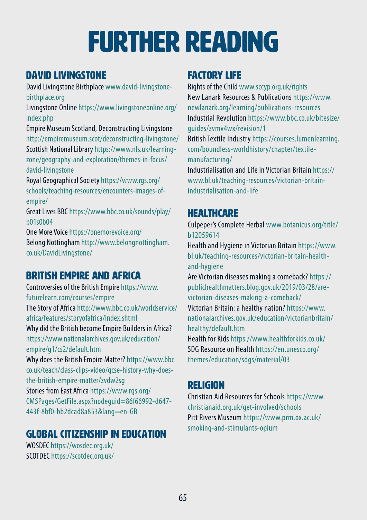# further reading

## DAVID LIVINGSTONE

David Livingstone Birthplace [www.david-livingstone](http://www.david-livingstone-birthplace.org)[birthplace.org](http://www.david-livingstone-birthplace.org)

Livingstone Online [https://www.livingstoneonline.org/](https://www.livingstoneonline.org/index.php) [index.php](https://www.livingstoneonline.org/index.php) 

Empire Museum Scotland, Deconstructing Livingstone <http://empiremuseum.scot/deconstructing-livingstone/> Scottish National Library [https://www.nls.uk/learning](https://www.nls.uk/learning-zone/geography-and-exploration/themes-in-focus/david-livingstone)[zone/geography-and-exploration/themes-in-focus/](https://www.nls.uk/learning-zone/geography-and-exploration/themes-in-focus/david-livingstone) [david-livingstone](https://www.nls.uk/learning-zone/geography-and-exploration/themes-in-focus/david-livingstone) 

Royal Geographical Society [https://www.rgs.org/](https://www.rgs.org/schools/teaching-resources/encounters-images-of-empire/) [schools/teaching-resources/encounters-images-of](https://www.rgs.org/schools/teaching-resources/encounters-images-of-empire/)[empire/](https://www.rgs.org/schools/teaching-resources/encounters-images-of-empire/) 

Great Lives BBC [https://www.bbc.co.uk/sounds/play/](https://www.bbc.co.uk/sounds/play/b01s0b04) [b01s0b04](https://www.bbc.co.uk/sounds/play/b01s0b04)

One More Voice https://onemorevoice.org/ Belong Nottingham http://www.belongnottingham. co.uk/DavidLivingstone/

## British Empire and Africa

Controversies of the British Empire [https://www.](https://www.futurelearn.com/courses/empire) [futurelearn.com/courses/empire](https://www.futurelearn.com/courses/empire)  The Story of Africa [http://www.bbc.co.uk/worldservice/](http://www.bbc.co.uk/worldservice/africa/features/storyofafrica/index.shtml) [africa/features/storyofafrica/index.shtml](http://www.bbc.co.uk/worldservice/africa/features/storyofafrica/index.shtml)  Why did the British become Empire Builders in Africa? [https://www.nationalarchives.gov.uk/education/](https://www.nationalarchives.gov.uk/education/empire/g1/cs2/default.htm) [empire/g1/cs2/default.htm](https://www.nationalarchives.gov.uk/education/empire/g1/cs2/default.htm)  Why does the British Empire Matter? [https://www.bbc.](https://www.bbc.co.uk/teach/class-clips-video/gcse-history-why-does-the-british-empire-matter/zvdw2sg) [co.uk/teach/class-clips-video/gcse-history-why-does](https://www.bbc.co.uk/teach/class-clips-video/gcse-history-why-does-the-british-empire-matter/zvdw2sg)[the-british-empire-matter/zvdw2sg](https://www.bbc.co.uk/teach/class-clips-video/gcse-history-why-does-the-british-empire-matter/zvdw2sg) 

Stories from East Africa [https://www.rgs.org/](https://www.rgs.org/CMSPages/GetFile.aspx?nodeguid=86f66992-d647-443f-8bf0-bb2dcad8a853&lang=en-GB) [CMSPages/GetFile.aspx?nodeguid=86f66992-d647-](https://www.rgs.org/CMSPages/GetFile.aspx?nodeguid=86f66992-d647-443f-8bf0-bb2dcad8a853&lang=en-GB) [443f-8bf0-bb2dcad8a853&lang=en-GB](https://www.rgs.org/CMSPages/GetFile.aspx?nodeguid=86f66992-d647-443f-8bf0-bb2dcad8a853&lang=en-GB)

## Global Citizenship in Education

WOSDEC<https://wosdec.org.uk/> SCOTDEC<https://scotdec.org.uk/>

### Factory Life

Rights of the Child [www.sccyp.org.uk/rights](http://www.sccyp.org.uk/rights)  New Lanark Resources & Publications [https://www.](https://www.newlanark.org/learning/publications-resources) [newlanark.org/learning/publications-resources](https://www.newlanark.org/learning/publications-resources)  Industrial Revolution [https://www.bbc.co.uk/bitesize/](https://www.bbc.co.uk/bitesize/guides/zvmv4wx/revision/1) [guides/zvmv4wx/revision/1](https://www.bbc.co.uk/bitesize/guides/zvmv4wx/revision/1)

British Textile Industry [https://courses.lumenlearning.](https://courses.lumenlearning.com/boundless-worldhistory/chapter/textile-manufacturing/) [com/boundless-worldhistory/chapter/textile](https://courses.lumenlearning.com/boundless-worldhistory/chapter/textile-manufacturing/)[manufacturing/](https://courses.lumenlearning.com/boundless-worldhistory/chapter/textile-manufacturing/)

Industrialisation and Life in Victorian Britain [https://](https://www.bl.uk/teaching-resources/victorian-britain-industrialisation-and-life) [www.bl.uk/teaching-resources/victorian-britain](https://www.bl.uk/teaching-resources/victorian-britain-industrialisation-and-life)[industrialisation-and-life](https://www.bl.uk/teaching-resources/victorian-britain-industrialisation-and-life) 

## **HEAITHCARE**

Culpeper's Complete Herbal [www.botanicus.org/title/](http://www.botanicus.org/title/b12059614) [b12059614](http://www.botanicus.org/title/b12059614) 

Health and Hygiene in Victorian Britain [https://www.](https://www.bl.uk/teaching-resources/victorian-britain-health-and-hygiene) [bl.uk/teaching-resources/victorian-britain-health](https://www.bl.uk/teaching-resources/victorian-britain-health-and-hygiene)[and-hygiene](https://www.bl.uk/teaching-resources/victorian-britain-health-and-hygiene)

Are Victorian diseases making a comeback? [https://](https://publichealthmatters.blog.gov.uk/2019/03/28/are-victorian-diseases-making-a-comeback/) [publichealthmatters.blog.gov.uk/2019/03/28/are](https://publichealthmatters.blog.gov.uk/2019/03/28/are-victorian-diseases-making-a-comeback/)[victorian-diseases-making-a-comeback/](https://publichealthmatters.blog.gov.uk/2019/03/28/are-victorian-diseases-making-a-comeback/) 

Victorian Britain: a healthy nation? [https://www.](https://www.nationalarchives.gov.uk/education/victorianbritain/healthy/default.htm) [nationalarchives.gov.uk/education/victorianbritain/](https://www.nationalarchives.gov.uk/education/victorianbritain/healthy/default.htm) [healthy/default.htm](https://www.nationalarchives.gov.uk/education/victorianbritain/healthy/default.htm)

Health for Kids <https://www.healthforkids.co.uk/> SDG Resource on Health [https://en.unesco.org/](https://en.unesco.org/themes/education/sdgs/material/03) [themes/education/sdgs/material/03](https://en.unesco.org/themes/education/sdgs/material/03)

### Religion

Christian Aid Resources for Schools [https://www.](https://www.christianaid.org.uk/get-involved/schools) [christianaid.org.uk/get-involved/schools](https://www.christianaid.org.uk/get-involved/schools) Pitt Rivers Museum [https://www.prm.ox.ac.uk/](https://www.prm.ox.ac.uk/smoking-and-stimulants-opium) [smoking-and-stimulants-opium](https://www.prm.ox.ac.uk/smoking-and-stimulants-opium)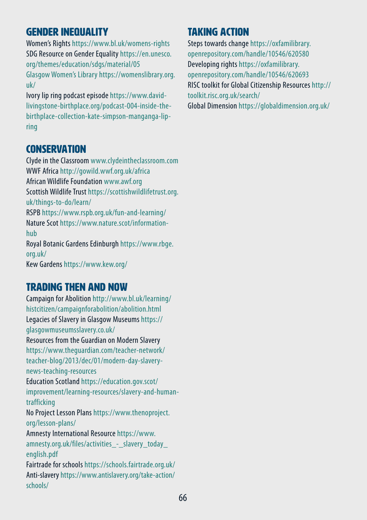#### Gender inequality

Women's Rights <https://www.bl.uk/womens-rights> SDG Resource on Gender Equality [https://en.unesco.](https://en.unesco.org/themes/education/sdgs/material/05) [org/themes/education/sdgs/material/05](https://en.unesco.org/themes/education/sdgs/material/05) Glasgow Women's Library [https://womenslibrary.org.](https://womenslibrary.org.uk/) [uk/](https://womenslibrary.org.uk/) 

Ivory lip ring podcast episode https://www.davidlivingstone-birthplace.org/podcast-004-inside-thebirthplace-collection-kate-simpson-manganga-lipring

### **CONSERVATION**

Clyde in the Classroom [www.clydeintheclassroom.com](http://www.clydeintheclassroom.com) WWF Africa <http://gowild.wwf.org.uk/africa> African Wildlife Foundation [www.awf.org](http://www.awf.org) Scottish Wildlife Trust [https://scottishwildlifetrust.org.](https://scottishwildlifetrust.org.uk/things-to-do/learn/) [uk/things-to-do/learn/](https://scottishwildlifetrust.org.uk/things-to-do/learn/)  RSPB<https://www.rspb.org.uk/fun-and-learning/> Nature Scot [https://www.nature.scot/information](https://www.nature.scot/information-hub)[hub](https://www.nature.scot/information-hub)  Royal Botanic Gardens Edinburgh https://www.rbge. org.uk/ Kew Gardens https://www.kew.org/

### Trading then and now

Campaign for Abolition [http://www.bl.uk/learning/](http://www.bl.uk/learning/histcitizen/campaignforabolition/abolition.html) [histcitizen/campaignforabolition/abolition.html](http://www.bl.uk/learning/histcitizen/campaignforabolition/abolition.html)  Legacies of Slavery in Glasgow Museums [https://](https://glasgowmuseumsslavery.co.uk/) [glasgowmuseumsslavery.co.uk/](https://glasgowmuseumsslavery.co.uk/) Resources from the Guardian on Modern Slavery [https://www.theguardian.com/teacher-network/](https://www.theguardian.com/teacher-network/teacher-blog/2013/dec/01/modern-day-slavery-news-teaching-resources) [teacher-blog/2013/dec/01/modern-day-slavery](https://www.theguardian.com/teacher-network/teacher-blog/2013/dec/01/modern-day-slavery-news-teaching-resources)[news-teaching-resources](https://www.theguardian.com/teacher-network/teacher-blog/2013/dec/01/modern-day-slavery-news-teaching-resources) Education Scotland [https://education.gov.scot/](https://education.gov.scot/improvement/learning-resources/slavery-and-human-trafficking) [improvement/learning-resources/slavery-and-human](https://education.gov.scot/improvement/learning-resources/slavery-and-human-trafficking)[trafficking](https://education.gov.scot/improvement/learning-resources/slavery-and-human-trafficking) No Project Lesson Plans [https://www.thenoproject.](https://www.thenoproject.org/lesson-plans/) [org/lesson-plans/](https://www.thenoproject.org/lesson-plans/)  Amnesty International Resource [https://www.](https://www.amnesty.org.uk/files/activities_-_slavery_today_english.pdf) amnesty.org.uk/files/activities - slavery today [english.pdf](https://www.amnesty.org.uk/files/activities_-_slavery_today_english.pdf)  Fairtrade for schools <https://schools.fairtrade.org.uk/> Anti-slavery [https://www.antislavery.org/take-action/](https://www.antislavery.org/take-action/schools/) [schools/](https://www.antislavery.org/take-action/schools/) 

## Taking Action

Steps towards change [https://oxfamilibrary.](https://oxfamilibrary.openrepository.com/handle/10546/620580) [openrepository.com/handle/10546/620580](https://oxfamilibrary.openrepository.com/handle/10546/620580) Developing rights [https://oxfamilibrary.](https://oxfamilibrary.openrepository.com/handle/10546/620693) [openrepository.com/handle/10546/620693](https://oxfamilibrary.openrepository.com/handle/10546/620693) RISC toolkit for Global Citizenship Resources [http://](http://toolkit.risc.org.uk/search/) [toolkit.risc.org.uk/search/](http://toolkit.risc.org.uk/search/)  Global Dimension<https://globaldimension.org.uk/>